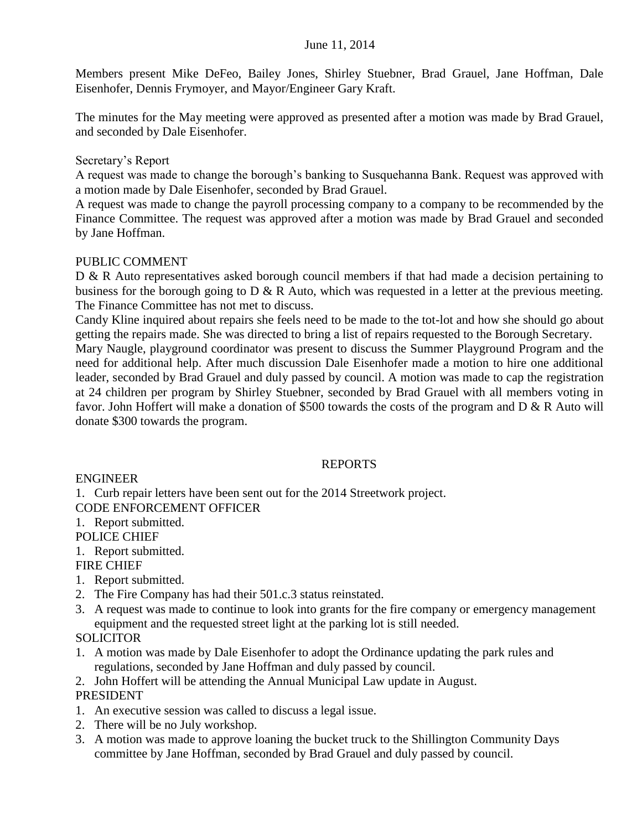#### June 11, 2014

Members present Mike DeFeo, Bailey Jones, Shirley Stuebner, Brad Grauel, Jane Hoffman, Dale Eisenhofer, Dennis Frymoyer, and Mayor/Engineer Gary Kraft.

The minutes for the May meeting were approved as presented after a motion was made by Brad Grauel, and seconded by Dale Eisenhofer.

#### Secretary's Report

A request was made to change the borough's banking to Susquehanna Bank. Request was approved with a motion made by Dale Eisenhofer, seconded by Brad Grauel.

A request was made to change the payroll processing company to a company to be recommended by the Finance Committee. The request was approved after a motion was made by Brad Grauel and seconded by Jane Hoffman.

#### PUBLIC COMMENT

D & R Auto representatives asked borough council members if that had made a decision pertaining to business for the borough going to D & R Auto, which was requested in a letter at the previous meeting. The Finance Committee has not met to discuss.

Candy Kline inquired about repairs she feels need to be made to the tot-lot and how she should go about getting the repairs made. She was directed to bring a list of repairs requested to the Borough Secretary.

Mary Naugle, playground coordinator was present to discuss the Summer Playground Program and the need for additional help. After much discussion Dale Eisenhofer made a motion to hire one additional leader, seconded by Brad Grauel and duly passed by council. A motion was made to cap the registration at 24 children per program by Shirley Stuebner, seconded by Brad Grauel with all members voting in favor. John Hoffert will make a donation of \$500 towards the costs of the program and D & R Auto will donate \$300 towards the program.

# REPORTS

ENGINEER

1. Curb repair letters have been sent out for the 2014 Streetwork project. CODE ENFORCEMENT OFFICER

# 1. Report submitted.

POLICE CHIEF

1. Report submitted.

# FIRE CHIEF

- 1. Report submitted.
- 2. The Fire Company has had their 501.c.3 status reinstated.
- 3. A request was made to continue to look into grants for the fire company or emergency management equipment and the requested street light at the parking lot is still needed.

# **SOLICITOR**

- 1. A motion was made by Dale Eisenhofer to adopt the Ordinance updating the park rules and regulations, seconded by Jane Hoffman and duly passed by council.
- 2. John Hoffert will be attending the Annual Municipal Law update in August. PRESIDENT
- 1. An executive session was called to discuss a legal issue.
- 2. There will be no July workshop.
- 3. A motion was made to approve loaning the bucket truck to the Shillington Community Days committee by Jane Hoffman, seconded by Brad Grauel and duly passed by council.